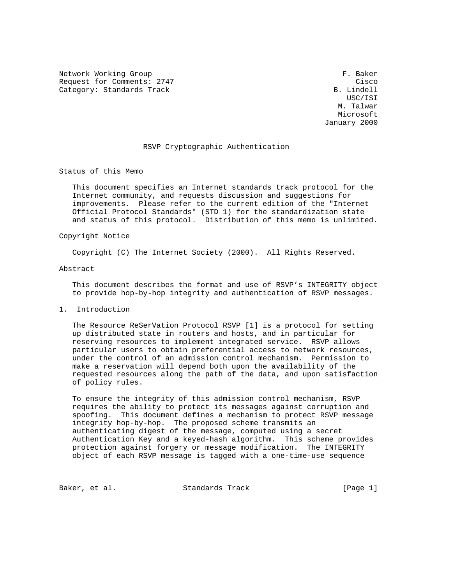Network Working Group F. Baker Request for Comments: 2747 Cisco<br>Category: Standards Track Category: B. Lindell Category: Standards Track

 USC/ISI M. Talwar Microsoft January 2000

# RSVP Cryptographic Authentication

Status of this Memo

 This document specifies an Internet standards track protocol for the Internet community, and requests discussion and suggestions for improvements. Please refer to the current edition of the "Internet Official Protocol Standards" (STD 1) for the standardization state and status of this protocol. Distribution of this memo is unlimited.

#### Copyright Notice

Copyright (C) The Internet Society (2000). All Rights Reserved.

#### Abstract

 This document describes the format and use of RSVP's INTEGRITY object to provide hop-by-hop integrity and authentication of RSVP messages.

1. Introduction

 The Resource ReSerVation Protocol RSVP [1] is a protocol for setting up distributed state in routers and hosts, and in particular for reserving resources to implement integrated service. RSVP allows particular users to obtain preferential access to network resources, under the control of an admission control mechanism. Permission to make a reservation will depend both upon the availability of the requested resources along the path of the data, and upon satisfaction of policy rules.

 To ensure the integrity of this admission control mechanism, RSVP requires the ability to protect its messages against corruption and spoofing. This document defines a mechanism to protect RSVP message integrity hop-by-hop. The proposed scheme transmits an authenticating digest of the message, computed using a secret Authentication Key and a keyed-hash algorithm. This scheme provides protection against forgery or message modification. The INTEGRITY object of each RSVP message is tagged with a one-time-use sequence

Baker, et al. Standards Track [Page 1]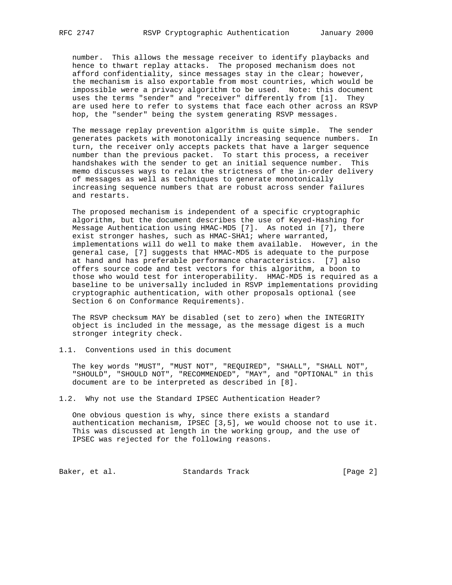number. This allows the message receiver to identify playbacks and hence to thwart replay attacks. The proposed mechanism does not afford confidentiality, since messages stay in the clear; however, the mechanism is also exportable from most countries, which would be impossible were a privacy algorithm to be used. Note: this document uses the terms "sender" and "receiver" differently from [1]. They are used here to refer to systems that face each other across an RSVP hop, the "sender" being the system generating RSVP messages.

 The message replay prevention algorithm is quite simple. The sender generates packets with monotonically increasing sequence numbers. In turn, the receiver only accepts packets that have a larger sequence number than the previous packet. To start this process, a receiver handshakes with the sender to get an initial sequence number. This memo discusses ways to relax the strictness of the in-order delivery of messages as well as techniques to generate monotonically increasing sequence numbers that are robust across sender failures and restarts.

 The proposed mechanism is independent of a specific cryptographic algorithm, but the document describes the use of Keyed-Hashing for Message Authentication using HMAC-MD5 [7]. As noted in [7], there exist stronger hashes, such as HMAC-SHA1; where warranted, implementations will do well to make them available. However, in the general case, [7] suggests that HMAC-MD5 is adequate to the purpose at hand and has preferable performance characteristics. [7] also offers source code and test vectors for this algorithm, a boon to those who would test for interoperability. HMAC-MD5 is required as a baseline to be universally included in RSVP implementations providing cryptographic authentication, with other proposals optional (see Section 6 on Conformance Requirements).

 The RSVP checksum MAY be disabled (set to zero) when the INTEGRITY object is included in the message, as the message digest is a much stronger integrity check.

1.1. Conventions used in this document

 The key words "MUST", "MUST NOT", "REQUIRED", "SHALL", "SHALL NOT", "SHOULD", "SHOULD NOT", "RECOMMENDED", "MAY", and "OPTIONAL" in this document are to be interpreted as described in [8].

1.2. Why not use the Standard IPSEC Authentication Header?

 One obvious question is why, since there exists a standard authentication mechanism, IPSEC [3,5], we would choose not to use it. This was discussed at length in the working group, and the use of IPSEC was rejected for the following reasons.

Baker, et al. Standards Track [Page 2]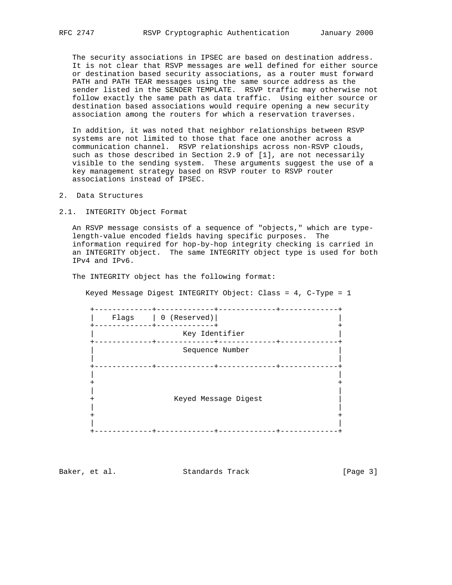The security associations in IPSEC are based on destination address. It is not clear that RSVP messages are well defined for either source or destination based security associations, as a router must forward PATH and PATH TEAR messages using the same source address as the sender listed in the SENDER TEMPLATE. RSVP traffic may otherwise not follow exactly the same path as data traffic. Using either source or destination based associations would require opening a new security association among the routers for which a reservation traverses.

 In addition, it was noted that neighbor relationships between RSVP systems are not limited to those that face one another across a communication channel. RSVP relationships across non-RSVP clouds, such as those described in Section 2.9 of [1], are not necessarily visible to the sending system. These arguments suggest the use of a key management strategy based on RSVP router to RSVP router associations instead of IPSEC.

2. Data Structures

2.1. INTEGRITY Object Format

 An RSVP message consists of a sequence of "objects," which are type length-value encoded fields having specific purposes. The information required for hop-by-hop integrity checking is carried in an INTEGRITY object. The same INTEGRITY object type is used for both IPv4 and IPv6.

The INTEGRITY object has the following format:

Keyed Message Digest INTEGRITY Object: Class = 4, C-Type = 1

 +-------------+-------------+-------------+-------------+ | Flags | 0 (Reserved)| | +-------------+-------------+ + Key Identifier +-------------+-------------+-------------+-------------+ | Sequence Number | | | +-------------+-------------+-------------+-------------+ | | + + | | + Keyed Message Digest | | |  $+$  +  $+$  +  $+$  +  $+$  +  $+$  +  $+$  +  $+$  +  $+$  +  $+$  +  $+$  +  $+$  +  $+$  +  $+$  +  $+$  +  $+$  +  $+$  +  $+$  +  $+$  +  $+$  +  $+$  +  $+$  +  $+$  +  $+$  +  $+$  +  $+$  +  $+$  +  $+$  +  $+$  +  $+$  +  $+$  +  $+$  +  $+$  +  $+$  +  $+$  +  $+$  +  $+$  +  $+$  + | | +-------------+-------------+-------------+-------------+

Baker, et al. Standards Track [Page 3]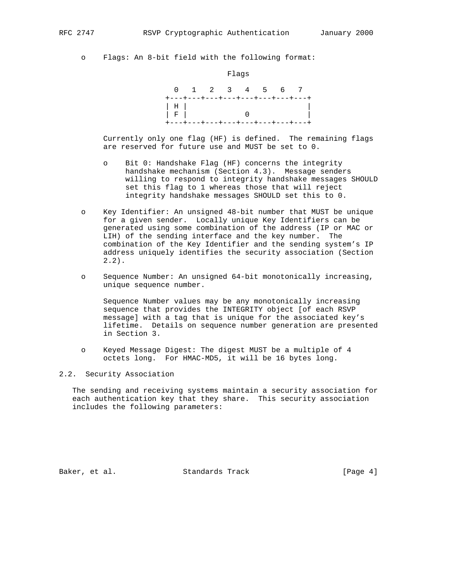o Flags: An 8-bit field with the following format:

Flags



 Currently only one flag (HF) is defined. The remaining flags are reserved for future use and MUST be set to 0.

- o Bit 0: Handshake Flag (HF) concerns the integrity handshake mechanism (Section 4.3). Message senders willing to respond to integrity handshake messages SHOULD set this flag to 1 whereas those that will reject integrity handshake messages SHOULD set this to 0.
- o Key Identifier: An unsigned 48-bit number that MUST be unique for a given sender. Locally unique Key Identifiers can be generated using some combination of the address (IP or MAC or LIH) of the sending interface and the key number. The combination of the Key Identifier and the sending system's IP address uniquely identifies the security association (Section  $2.2$ .
- o Sequence Number: An unsigned 64-bit monotonically increasing, unique sequence number.

 Sequence Number values may be any monotonically increasing sequence that provides the INTEGRITY object [of each RSVP message] with a tag that is unique for the associated key's lifetime. Details on sequence number generation are presented in Section 3.

 o Keyed Message Digest: The digest MUST be a multiple of 4 octets long. For HMAC-MD5, it will be 16 bytes long.

## 2.2. Security Association

 The sending and receiving systems maintain a security association for each authentication key that they share. This security association includes the following parameters:

Baker, et al. Standards Track [Page 4]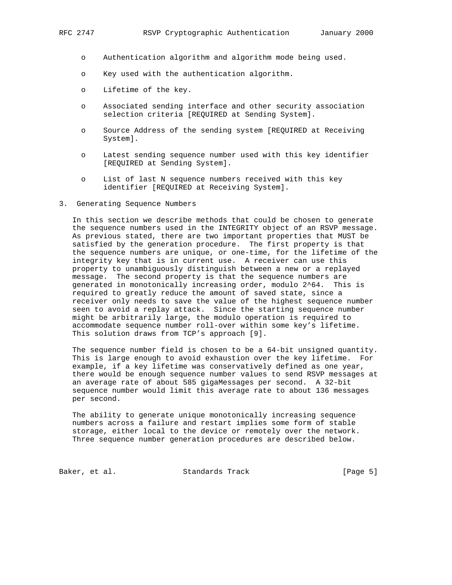- o Authentication algorithm and algorithm mode being used.
- o Key used with the authentication algorithm.
- o Lifetime of the key.
- o Associated sending interface and other security association selection criteria [REQUIRED at Sending System].
- o Source Address of the sending system [REQUIRED at Receiving System].
- o Latest sending sequence number used with this key identifier [REQUIRED at Sending System].
- o List of last N sequence numbers received with this key identifier [REQUIRED at Receiving System].
- 3. Generating Sequence Numbers

 In this section we describe methods that could be chosen to generate the sequence numbers used in the INTEGRITY object of an RSVP message. As previous stated, there are two important properties that MUST be satisfied by the generation procedure. The first property is that the sequence numbers are unique, or one-time, for the lifetime of the integrity key that is in current use. A receiver can use this property to unambiguously distinguish between a new or a replayed message. The second property is that the sequence numbers are generated in monotonically increasing order, modulo 2^64. This is required to greatly reduce the amount of saved state, since a receiver only needs to save the value of the highest sequence number seen to avoid a replay attack. Since the starting sequence number might be arbitrarily large, the modulo operation is required to accommodate sequence number roll-over within some key's lifetime. This solution draws from TCP's approach [9].

 The sequence number field is chosen to be a 64-bit unsigned quantity. This is large enough to avoid exhaustion over the key lifetime. For example, if a key lifetime was conservatively defined as one year, there would be enough sequence number values to send RSVP messages at an average rate of about 585 gigaMessages per second. A 32-bit sequence number would limit this average rate to about 136 messages per second.

 The ability to generate unique monotonically increasing sequence numbers across a failure and restart implies some form of stable storage, either local to the device or remotely over the network. Three sequence number generation procedures are described below.

Baker, et al. Standards Track [Page 5]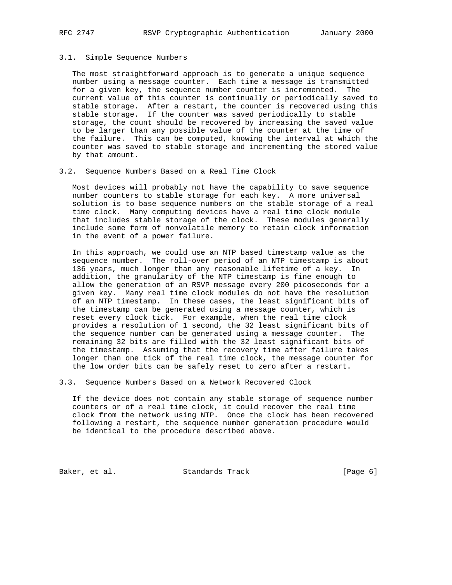#### 3.1. Simple Sequence Numbers

 The most straightforward approach is to generate a unique sequence number using a message counter. Each time a message is transmitted for a given key, the sequence number counter is incremented. The current value of this counter is continually or periodically saved to stable storage. After a restart, the counter is recovered using this stable storage. If the counter was saved periodically to stable storage, the count should be recovered by increasing the saved value to be larger than any possible value of the counter at the time of the failure. This can be computed, knowing the interval at which the counter was saved to stable storage and incrementing the stored value by that amount.

#### 3.2. Sequence Numbers Based on a Real Time Clock

 Most devices will probably not have the capability to save sequence number counters to stable storage for each key. A more universal solution is to base sequence numbers on the stable storage of a real time clock. Many computing devices have a real time clock module that includes stable storage of the clock. These modules generally include some form of nonvolatile memory to retain clock information in the event of a power failure.

 In this approach, we could use an NTP based timestamp value as the sequence number. The roll-over period of an NTP timestamp is about 136 years, much longer than any reasonable lifetime of a key. In addition, the granularity of the NTP timestamp is fine enough to allow the generation of an RSVP message every 200 picoseconds for a given key. Many real time clock modules do not have the resolution of an NTP timestamp. In these cases, the least significant bits of the timestamp can be generated using a message counter, which is reset every clock tick. For example, when the real time clock provides a resolution of 1 second, the 32 least significant bits of the sequence number can be generated using a message counter. The remaining 32 bits are filled with the 32 least significant bits of the timestamp. Assuming that the recovery time after failure takes longer than one tick of the real time clock, the message counter for the low order bits can be safely reset to zero after a restart.

3.3. Sequence Numbers Based on a Network Recovered Clock

 If the device does not contain any stable storage of sequence number counters or of a real time clock, it could recover the real time clock from the network using NTP. Once the clock has been recovered following a restart, the sequence number generation procedure would be identical to the procedure described above.

Baker, et al. Standards Track [Page 6]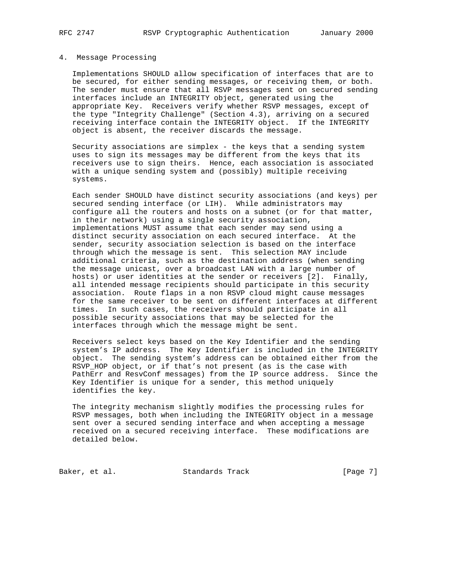#### 4. Message Processing

 Implementations SHOULD allow specification of interfaces that are to be secured, for either sending messages, or receiving them, or both. The sender must ensure that all RSVP messages sent on secured sending interfaces include an INTEGRITY object, generated using the appropriate Key. Receivers verify whether RSVP messages, except of the type "Integrity Challenge" (Section 4.3), arriving on a secured receiving interface contain the INTEGRITY object. If the INTEGRITY object is absent, the receiver discards the message.

 Security associations are simplex - the keys that a sending system uses to sign its messages may be different from the keys that its receivers use to sign theirs. Hence, each association is associated with a unique sending system and (possibly) multiple receiving systems.

 Each sender SHOULD have distinct security associations (and keys) per secured sending interface (or LIH). While administrators may configure all the routers and hosts on a subnet (or for that matter, in their network) using a single security association, implementations MUST assume that each sender may send using a distinct security association on each secured interface. At the sender, security association selection is based on the interface through which the message is sent. This selection MAY include additional criteria, such as the destination address (when sending the message unicast, over a broadcast LAN with a large number of hosts) or user identities at the sender or receivers [2]. Finally, all intended message recipients should participate in this security association. Route flaps in a non RSVP cloud might cause messages for the same receiver to be sent on different interfaces at different times. In such cases, the receivers should participate in all possible security associations that may be selected for the interfaces through which the message might be sent.

 Receivers select keys based on the Key Identifier and the sending system's IP address. The Key Identifier is included in the INTEGRITY object. The sending system's address can be obtained either from the RSVP HOP object, or if that's not present (as is the case with PathErr and ResvConf messages) from the IP source address. Since the Key Identifier is unique for a sender, this method uniquely identifies the key.

 The integrity mechanism slightly modifies the processing rules for RSVP messages, both when including the INTEGRITY object in a message sent over a secured sending interface and when accepting a message received on a secured receiving interface. These modifications are detailed below.

Baker, et al. Standards Track [Page 7]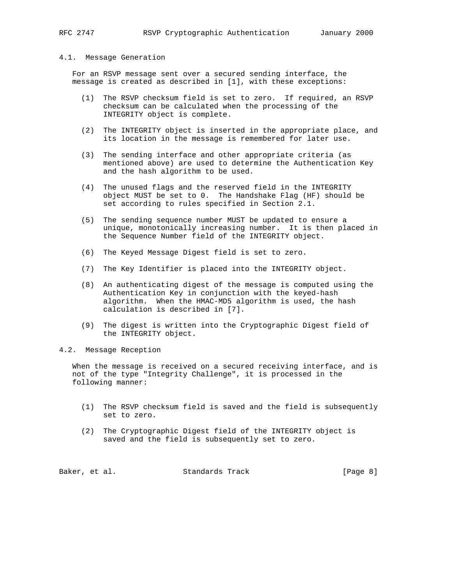#### 4.1. Message Generation

 For an RSVP message sent over a secured sending interface, the message is created as described in [1], with these exceptions:

- (1) The RSVP checksum field is set to zero. If required, an RSVP checksum can be calculated when the processing of the INTEGRITY object is complete.
- (2) The INTEGRITY object is inserted in the appropriate place, and its location in the message is remembered for later use.
- (3) The sending interface and other appropriate criteria (as mentioned above) are used to determine the Authentication Key and the hash algorithm to be used.
- (4) The unused flags and the reserved field in the INTEGRITY object MUST be set to 0. The Handshake Flag (HF) should be set according to rules specified in Section 2.1.
- (5) The sending sequence number MUST be updated to ensure a unique, monotonically increasing number. It is then placed in the Sequence Number field of the INTEGRITY object.
- (6) The Keyed Message Digest field is set to zero.
- (7) The Key Identifier is placed into the INTEGRITY object.
- (8) An authenticating digest of the message is computed using the Authentication Key in conjunction with the keyed-hash algorithm. When the HMAC-MD5 algorithm is used, the hash calculation is described in [7].
- (9) The digest is written into the Cryptographic Digest field of the INTEGRITY object.
- 4.2. Message Reception

 When the message is received on a secured receiving interface, and is not of the type "Integrity Challenge", it is processed in the following manner:

- (1) The RSVP checksum field is saved and the field is subsequently set to zero.
- (2) The Cryptographic Digest field of the INTEGRITY object is saved and the field is subsequently set to zero.

Baker, et al. Standards Track [Page 8]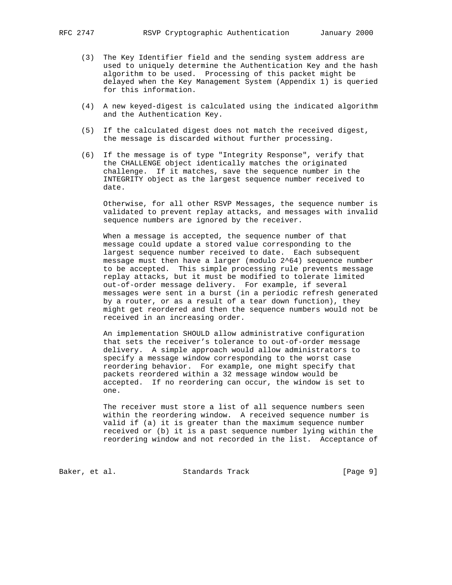- (3) The Key Identifier field and the sending system address are used to uniquely determine the Authentication Key and the hash algorithm to be used. Processing of this packet might be delayed when the Key Management System (Appendix 1) is queried for this information.
- (4) A new keyed-digest is calculated using the indicated algorithm and the Authentication Key.
- (5) If the calculated digest does not match the received digest, the message is discarded without further processing.
- (6) If the message is of type "Integrity Response", verify that the CHALLENGE object identically matches the originated challenge. If it matches, save the sequence number in the INTEGRITY object as the largest sequence number received to date.

 Otherwise, for all other RSVP Messages, the sequence number is validated to prevent replay attacks, and messages with invalid sequence numbers are ignored by the receiver.

 When a message is accepted, the sequence number of that message could update a stored value corresponding to the largest sequence number received to date. Each subsequent message must then have a larger (modulo 2^64) sequence number to be accepted. This simple processing rule prevents message replay attacks, but it must be modified to tolerate limited out-of-order message delivery. For example, if several messages were sent in a burst (in a periodic refresh generated by a router, or as a result of a tear down function), they might get reordered and then the sequence numbers would not be received in an increasing order.

 An implementation SHOULD allow administrative configuration that sets the receiver's tolerance to out-of-order message delivery. A simple approach would allow administrators to specify a message window corresponding to the worst case reordering behavior. For example, one might specify that packets reordered within a 32 message window would be accepted. If no reordering can occur, the window is set to one.

 The receiver must store a list of all sequence numbers seen within the reordering window. A received sequence number is valid if (a) it is greater than the maximum sequence number received or (b) it is a past sequence number lying within the reordering window and not recorded in the list. Acceptance of

Baker, et al. Standards Track [Page 9]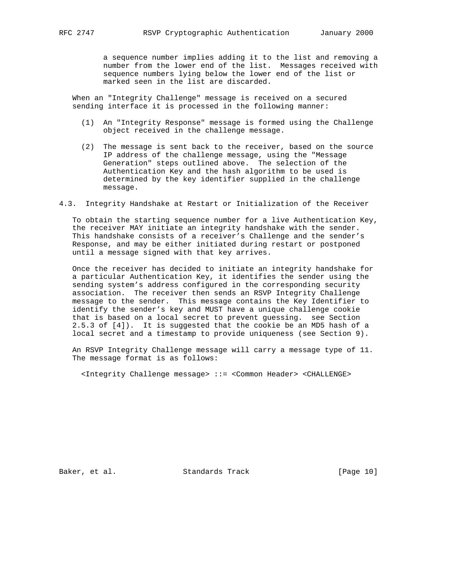a sequence number implies adding it to the list and removing a number from the lower end of the list. Messages received with sequence numbers lying below the lower end of the list or marked seen in the list are discarded.

 When an "Integrity Challenge" message is received on a secured sending interface it is processed in the following manner:

- (1) An "Integrity Response" message is formed using the Challenge object received in the challenge message.
- (2) The message is sent back to the receiver, based on the source IP address of the challenge message, using the "Message Generation" steps outlined above. The selection of the Authentication Key and the hash algorithm to be used is determined by the key identifier supplied in the challenge message.
- 4.3. Integrity Handshake at Restart or Initialization of the Receiver

 To obtain the starting sequence number for a live Authentication Key, the receiver MAY initiate an integrity handshake with the sender. This handshake consists of a receiver's Challenge and the sender's Response, and may be either initiated during restart or postponed until a message signed with that key arrives.

 Once the receiver has decided to initiate an integrity handshake for a particular Authentication Key, it identifies the sender using the sending system's address configured in the corresponding security association. The receiver then sends an RSVP Integrity Challenge message to the sender. This message contains the Key Identifier to identify the sender's key and MUST have a unique challenge cookie that is based on a local secret to prevent guessing. see Section 2.5.3 of [4]). It is suggested that the cookie be an MD5 hash of a local secret and a timestamp to provide uniqueness (see Section 9).

 An RSVP Integrity Challenge message will carry a message type of 11. The message format is as follows:

<Integrity Challenge message> ::= <Common Header> <CHALLENGE>

Baker, et al. Standards Track [Page 10]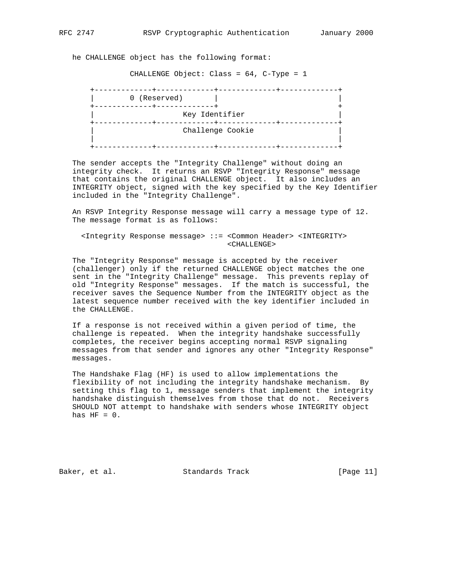he CHALLENGE object has the following format:

CHALLENGE Object: Class = 64, C-Type = 1

| 0 (Reserved) |                  |  |
|--------------|------------------|--|
|              |                  |  |
|              | Key Identifier   |  |
|              | Challenge Cookie |  |
|              |                  |  |

 The sender accepts the "Integrity Challenge" without doing an integrity check. It returns an RSVP "Integrity Response" message that contains the original CHALLENGE object. It also includes an INTEGRITY object, signed with the key specified by the Key Identifier included in the "Integrity Challenge".

 An RSVP Integrity Response message will carry a message type of 12. The message format is as follows:

 <Integrity Response message> ::= <Common Header> <INTEGRITY> <CHALLENGE>

 The "Integrity Response" message is accepted by the receiver (challenger) only if the returned CHALLENGE object matches the one sent in the "Integrity Challenge" message. This prevents replay of old "Integrity Response" messages. If the match is successful, the receiver saves the Sequence Number from the INTEGRITY object as the latest sequence number received with the key identifier included in the CHALLENGE.

 If a response is not received within a given period of time, the challenge is repeated. When the integrity handshake successfully completes, the receiver begins accepting normal RSVP signaling messages from that sender and ignores any other "Integrity Response" messages.

 The Handshake Flag (HF) is used to allow implementations the flexibility of not including the integrity handshake mechanism. By setting this flag to 1, message senders that implement the integrity handshake distinguish themselves from those that do not. Receivers SHOULD NOT attempt to handshake with senders whose INTEGRITY object has  $HF = 0$ .

Baker, et al. Standards Track [Page 11]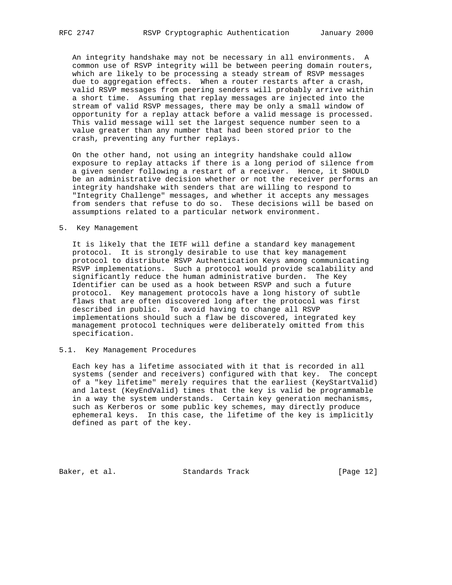An integrity handshake may not be necessary in all environments. A common use of RSVP integrity will be between peering domain routers, which are likely to be processing a steady stream of RSVP messages due to aggregation effects. When a router restarts after a crash, valid RSVP messages from peering senders will probably arrive within a short time. Assuming that replay messages are injected into the stream of valid RSVP messages, there may be only a small window of opportunity for a replay attack before a valid message is processed. This valid message will set the largest sequence number seen to a value greater than any number that had been stored prior to the crash, preventing any further replays.

 On the other hand, not using an integrity handshake could allow exposure to replay attacks if there is a long period of silence from a given sender following a restart of a receiver. Hence, it SHOULD be an administrative decision whether or not the receiver performs an integrity handshake with senders that are willing to respond to "Integrity Challenge" messages, and whether it accepts any messages from senders that refuse to do so. These decisions will be based on assumptions related to a particular network environment.

#### 5. Key Management

 It is likely that the IETF will define a standard key management protocol. It is strongly desirable to use that key management protocol to distribute RSVP Authentication Keys among communicating RSVP implementations. Such a protocol would provide scalability and significantly reduce the human administrative burden. The Key Identifier can be used as a hook between RSVP and such a future protocol. Key management protocols have a long history of subtle flaws that are often discovered long after the protocol was first described in public. To avoid having to change all RSVP implementations should such a flaw be discovered, integrated key management protocol techniques were deliberately omitted from this specification.

# 5.1. Key Management Procedures

 Each key has a lifetime associated with it that is recorded in all systems (sender and receivers) configured with that key. The concept of a "key lifetime" merely requires that the earliest (KeyStartValid) and latest (KeyEndValid) times that the key is valid be programmable in a way the system understands. Certain key generation mechanisms, such as Kerberos or some public key schemes, may directly produce ephemeral keys. In this case, the lifetime of the key is implicitly defined as part of the key.

Baker, et al. Standards Track [Page 12]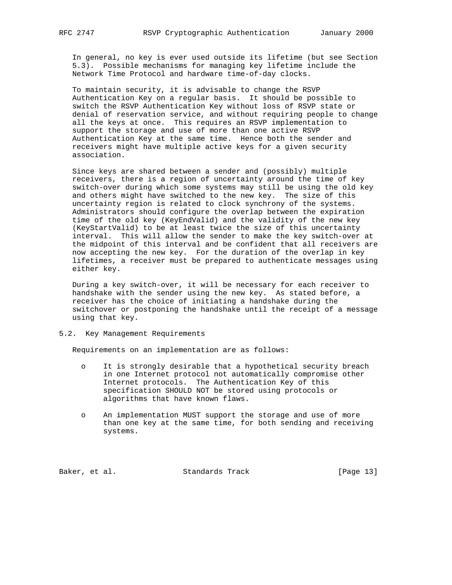In general, no key is ever used outside its lifetime (but see Section 5.3). Possible mechanisms for managing key lifetime include the Network Time Protocol and hardware time-of-day clocks.

 To maintain security, it is advisable to change the RSVP Authentication Key on a regular basis. It should be possible to switch the RSVP Authentication Key without loss of RSVP state or denial of reservation service, and without requiring people to change all the keys at once. This requires an RSVP implementation to support the storage and use of more than one active RSVP Authentication Key at the same time. Hence both the sender and receivers might have multiple active keys for a given security association.

 Since keys are shared between a sender and (possibly) multiple receivers, there is a region of uncertainty around the time of key switch-over during which some systems may still be using the old key and others might have switched to the new key. The size of this uncertainty region is related to clock synchrony of the systems. Administrators should configure the overlap between the expiration time of the old key (KeyEndValid) and the validity of the new key (KeyStartValid) to be at least twice the size of this uncertainty interval. This will allow the sender to make the key switch-over at the midpoint of this interval and be confident that all receivers are now accepting the new key. For the duration of the overlap in key lifetimes, a receiver must be prepared to authenticate messages using either key.

 During a key switch-over, it will be necessary for each receiver to handshake with the sender using the new key. As stated before, a receiver has the choice of initiating a handshake during the switchover or postponing the handshake until the receipt of a message using that key.

5.2. Key Management Requirements

Requirements on an implementation are as follows:

- o It is strongly desirable that a hypothetical security breach in one Internet protocol not automatically compromise other Internet protocols. The Authentication Key of this specification SHOULD NOT be stored using protocols or algorithms that have known flaws.
- o An implementation MUST support the storage and use of more than one key at the same time, for both sending and receiving systems.

Baker, et al. Standards Track [Page 13]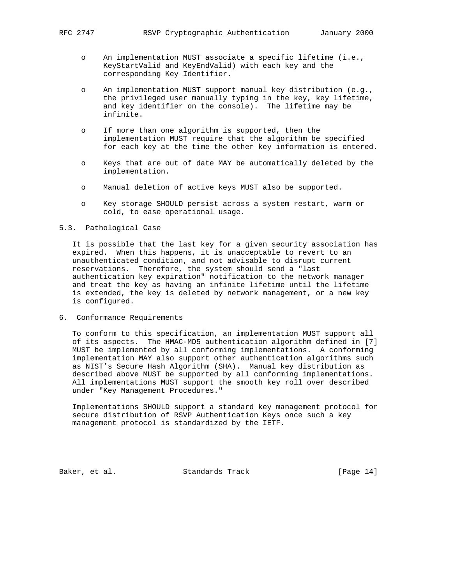- o An implementation MUST associate a specific lifetime (i.e., KeyStartValid and KeyEndValid) with each key and the corresponding Key Identifier.
- o An implementation MUST support manual key distribution (e.g., the privileged user manually typing in the key, key lifetime, and key identifier on the console). The lifetime may be infinite.
- o If more than one algorithm is supported, then the implementation MUST require that the algorithm be specified for each key at the time the other key information is entered.
- o Keys that are out of date MAY be automatically deleted by the implementation.
- o Manual deletion of active keys MUST also be supported.
- o Key storage SHOULD persist across a system restart, warm or cold, to ease operational usage.

#### 5.3. Pathological Case

 It is possible that the last key for a given security association has expired. When this happens, it is unacceptable to revert to an unauthenticated condition, and not advisable to disrupt current reservations. Therefore, the system should send a "last authentication key expiration" notification to the network manager and treat the key as having an infinite lifetime until the lifetime is extended, the key is deleted by network management, or a new key is configured.

6. Conformance Requirements

 To conform to this specification, an implementation MUST support all of its aspects. The HMAC-MD5 authentication algorithm defined in [7] MUST be implemented by all conforming implementations. A conforming implementation MAY also support other authentication algorithms such as NIST's Secure Hash Algorithm (SHA). Manual key distribution as described above MUST be supported by all conforming implementations. All implementations MUST support the smooth key roll over described under "Key Management Procedures."

 Implementations SHOULD support a standard key management protocol for secure distribution of RSVP Authentication Keys once such a key management protocol is standardized by the IETF.

Baker, et al. Standards Track [Page 14]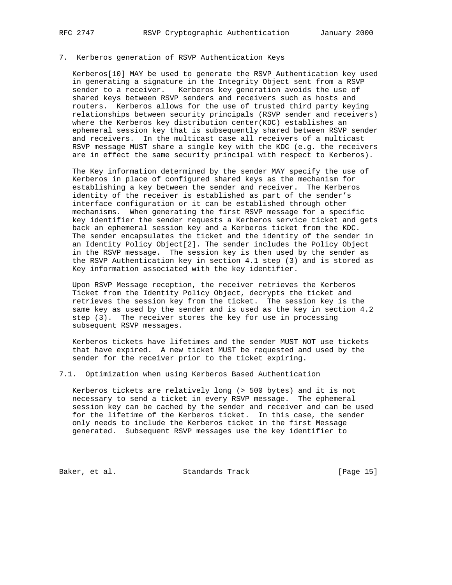# 7. Kerberos generation of RSVP Authentication Keys

 Kerberos[10] MAY be used to generate the RSVP Authentication key used in generating a signature in the Integrity Object sent from a RSVP sender to a receiver. Kerberos key generation avoids the use of shared keys between RSVP senders and receivers such as hosts and routers. Kerberos allows for the use of trusted third party keying relationships between security principals (RSVP sender and receivers) where the Kerberos key distribution center(KDC) establishes an ephemeral session key that is subsequently shared between RSVP sender and receivers. In the multicast case all receivers of a multicast RSVP message MUST share a single key with the KDC (e.g. the receivers are in effect the same security principal with respect to Kerberos).

 The Key information determined by the sender MAY specify the use of Kerberos in place of configured shared keys as the mechanism for establishing a key between the sender and receiver. The Kerberos identity of the receiver is established as part of the sender's interface configuration or it can be established through other mechanisms. When generating the first RSVP message for a specific key identifier the sender requests a Kerberos service ticket and gets back an ephemeral session key and a Kerberos ticket from the KDC. The sender encapsulates the ticket and the identity of the sender in an Identity Policy Object[2]. The sender includes the Policy Object in the RSVP message. The session key is then used by the sender as the RSVP Authentication key in section 4.1 step (3) and is stored as Key information associated with the key identifier.

 Upon RSVP Message reception, the receiver retrieves the Kerberos Ticket from the Identity Policy Object, decrypts the ticket and retrieves the session key from the ticket. The session key is the same key as used by the sender and is used as the key in section 4.2 step (3). The receiver stores the key for use in processing subsequent RSVP messages.

 Kerberos tickets have lifetimes and the sender MUST NOT use tickets that have expired. A new ticket MUST be requested and used by the sender for the receiver prior to the ticket expiring.

7.1. Optimization when using Kerberos Based Authentication

 Kerberos tickets are relatively long (> 500 bytes) and it is not necessary to send a ticket in every RSVP message. The ephemeral session key can be cached by the sender and receiver and can be used for the lifetime of the Kerberos ticket. In this case, the sender only needs to include the Kerberos ticket in the first Message generated. Subsequent RSVP messages use the key identifier to

Baker, et al. Standards Track [Page 15]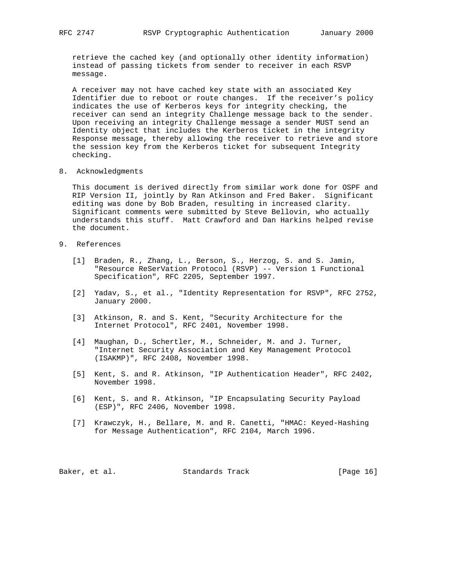retrieve the cached key (and optionally other identity information) instead of passing tickets from sender to receiver in each RSVP message.

 A receiver may not have cached key state with an associated Key Identifier due to reboot or route changes. If the receiver's policy indicates the use of Kerberos keys for integrity checking, the receiver can send an integrity Challenge message back to the sender. Upon receiving an integrity Challenge message a sender MUST send an Identity object that includes the Kerberos ticket in the integrity Response message, thereby allowing the receiver to retrieve and store the session key from the Kerberos ticket for subsequent Integrity checking.

8. Acknowledgments

 This document is derived directly from similar work done for OSPF and RIP Version II, jointly by Ran Atkinson and Fred Baker. Significant editing was done by Bob Braden, resulting in increased clarity. Significant comments were submitted by Steve Bellovin, who actually understands this stuff. Matt Crawford and Dan Harkins helped revise the document.

# 9. References

- [1] Braden, R., Zhang, L., Berson, S., Herzog, S. and S. Jamin, "Resource ReSerVation Protocol (RSVP) -- Version 1 Functional Specification", RFC 2205, September 1997.
- [2] Yadav, S., et al., "Identity Representation for RSVP", RFC 2752, January 2000.
- [3] Atkinson, R. and S. Kent, "Security Architecture for the Internet Protocol", RFC 2401, November 1998.
- [4] Maughan, D., Schertler, M., Schneider, M. and J. Turner, "Internet Security Association and Key Management Protocol (ISAKMP)", RFC 2408, November 1998.
- [5] Kent, S. and R. Atkinson, "IP Authentication Header", RFC 2402, November 1998.
- [6] Kent, S. and R. Atkinson, "IP Encapsulating Security Payload (ESP)", RFC 2406, November 1998.
- [7] Krawczyk, H., Bellare, M. and R. Canetti, "HMAC: Keyed-Hashing for Message Authentication", RFC 2104, March 1996.

Baker, et al. Standards Track [Page 16]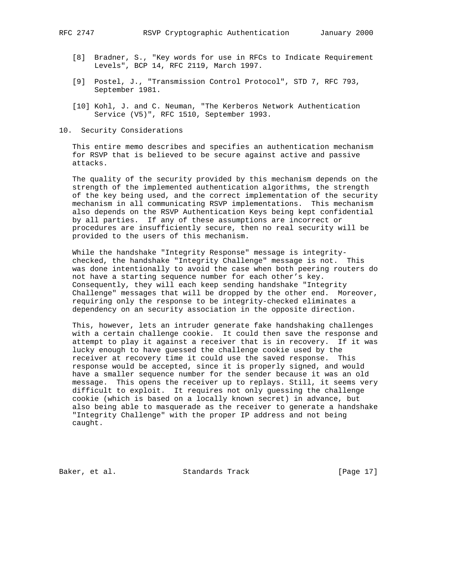- [8] Bradner, S., "Key words for use in RFCs to Indicate Requirement Levels", BCP 14, RFC 2119, March 1997.
- [9] Postel, J., "Transmission Control Protocol", STD 7, RFC 793, September 1981.
- [10] Kohl, J. and C. Neuman, "The Kerberos Network Authentication Service (V5)", RFC 1510, September 1993.
- 10. Security Considerations

 This entire memo describes and specifies an authentication mechanism for RSVP that is believed to be secure against active and passive attacks.

 The quality of the security provided by this mechanism depends on the strength of the implemented authentication algorithms, the strength of the key being used, and the correct implementation of the security mechanism in all communicating RSVP implementations. This mechanism also depends on the RSVP Authentication Keys being kept confidential by all parties. If any of these assumptions are incorrect or procedures are insufficiently secure, then no real security will be provided to the users of this mechanism.

 While the handshake "Integrity Response" message is integrity checked, the handshake "Integrity Challenge" message is not. This was done intentionally to avoid the case when both peering routers do not have a starting sequence number for each other's key. Consequently, they will each keep sending handshake "Integrity Challenge" messages that will be dropped by the other end. Moreover, requiring only the response to be integrity-checked eliminates a dependency on an security association in the opposite direction.

 This, however, lets an intruder generate fake handshaking challenges with a certain challenge cookie. It could then save the response and attempt to play it against a receiver that is in recovery. If it was lucky enough to have guessed the challenge cookie used by the receiver at recovery time it could use the saved response. This response would be accepted, since it is properly signed, and would have a smaller sequence number for the sender because it was an old message. This opens the receiver up to replays. Still, it seems very difficult to exploit. It requires not only guessing the challenge cookie (which is based on a locally known secret) in advance, but also being able to masquerade as the receiver to generate a handshake "Integrity Challenge" with the proper IP address and not being caught.

Baker, et al. Standards Track [Page 17]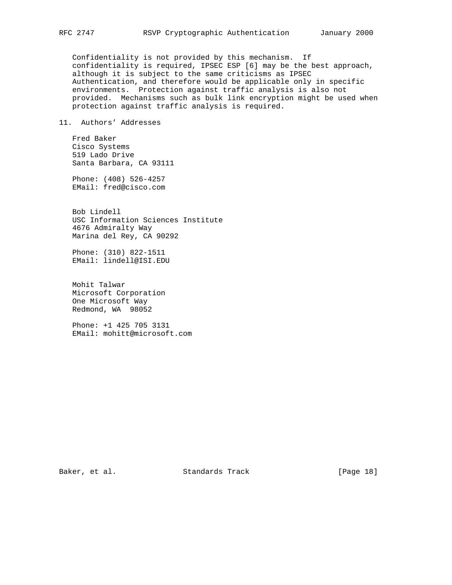Confidentiality is not provided by this mechanism. If confidentiality is required, IPSEC ESP [6] may be the best approach, although it is subject to the same criticisms as IPSEC Authentication, and therefore would be applicable only in specific environments. Protection against traffic analysis is also not provided. Mechanisms such as bulk link encryption might be used when protection against traffic analysis is required.

# 11. Authors' Addresses

 Fred Baker Cisco Systems 519 Lado Drive Santa Barbara, CA 93111

 Phone: (408) 526-4257 EMail: fred@cisco.com

 Bob Lindell USC Information Sciences Institute 4676 Admiralty Way Marina del Rey, CA 90292

 Phone: (310) 822-1511 EMail: lindell@ISI.EDU

 Mohit Talwar Microsoft Corporation One Microsoft Way Redmond, WA 98052

 Phone: +1 425 705 3131 EMail: mohitt@microsoft.com

Baker, et al. Standards Track [Page 18]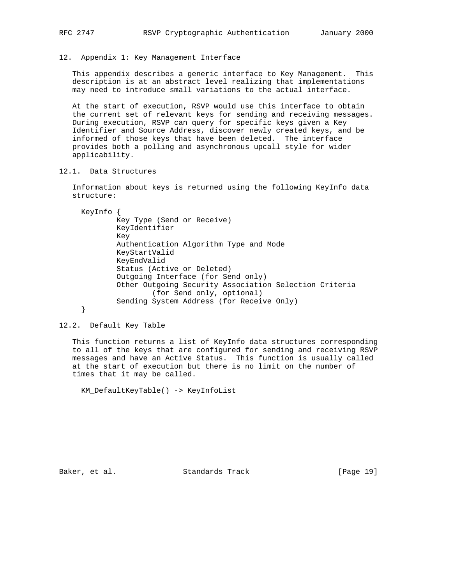12. Appendix 1: Key Management Interface

 This appendix describes a generic interface to Key Management. This description is at an abstract level realizing that implementations may need to introduce small variations to the actual interface.

 At the start of execution, RSVP would use this interface to obtain the current set of relevant keys for sending and receiving messages. During execution, RSVP can query for specific keys given a Key Identifier and Source Address, discover newly created keys, and be informed of those keys that have been deleted. The interface provides both a polling and asynchronous upcall style for wider applicability.

12.1. Data Structures

 Information about keys is returned using the following KeyInfo data structure:

KeyInfo {

 Key Type (Send or Receive) KeyIdentifier Key Authentication Algorithm Type and Mode KeyStartValid KeyEndValid Status (Active or Deleted) Outgoing Interface (for Send only) Other Outgoing Security Association Selection Criteria (for Send only, optional) Sending System Address (for Receive Only)

12.2. Default Key Table

}

 This function returns a list of KeyInfo data structures corresponding to all of the keys that are configured for sending and receiving RSVP messages and have an Active Status. This function is usually called at the start of execution but there is no limit on the number of times that it may be called.

KM\_DefaultKeyTable() -> KeyInfoList

Baker, et al. Standards Track [Page 19]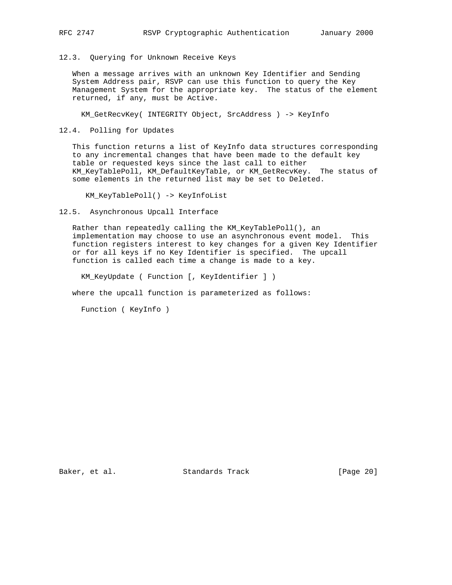12.3. Querying for Unknown Receive Keys

 When a message arrives with an unknown Key Identifier and Sending System Address pair, RSVP can use this function to query the Key Management System for the appropriate key. The status of the element returned, if any, must be Active.

KM\_GetRecvKey( INTEGRITY Object, SrcAddress ) -> KeyInfo

12.4. Polling for Updates

 This function returns a list of KeyInfo data structures corresponding to any incremental changes that have been made to the default key table or requested keys since the last call to either KM\_KeyTablePoll, KM\_DefaultKeyTable, or KM\_GetRecvKey. The status of some elements in the returned list may be set to Deleted.

KM\_KeyTablePoll() -> KeyInfoList

12.5. Asynchronous Upcall Interface

 Rather than repeatedly calling the KM\_KeyTablePoll(), an implementation may choose to use an asynchronous event model. This function registers interest to key changes for a given Key Identifier or for all keys if no Key Identifier is specified. The upcall function is called each time a change is made to a key.

KM\_KeyUpdate ( Function [, KeyIdentifier ] )

where the upcall function is parameterized as follows:

Function ( KeyInfo )

Baker, et al. Standards Track [Page 20]